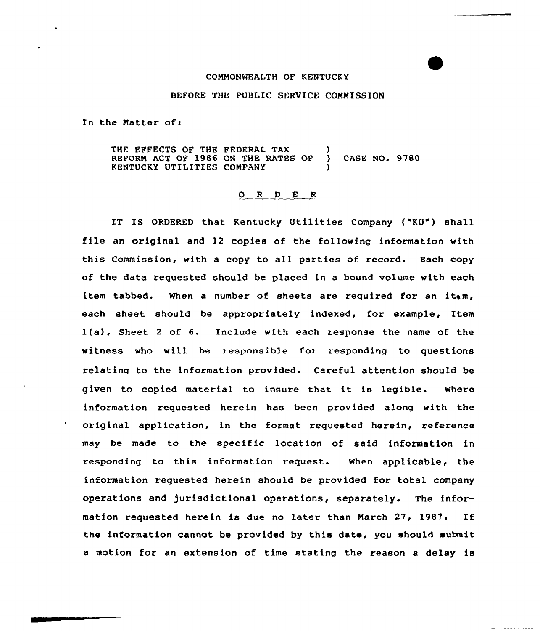## CONNQNWEALTH OF KENTUCKY

## BEFORE THE PUBLIC SERVICE COMMISSION

In the Matter of:

THE EFFECTS OF THE FEDERAL TAX (1) REFORM ACT OF 1986 ON THE RATES OF ) CASE NO. 9780 KENTUCKY UTILITIES COMPANY

## O R D E R

IT IS ORDERED that Kentucky Utilities Company ("KU") shell file an original and 12 copies of the following information with this Commission, with a copy to all parties of record. Each copy of the data requested should be placed in a bound volume with each item tabbed. When a number of sheets are required for an item, each sheet should be appropriately indexed, for example, Item l(a), Sheet <sup>2</sup> of 6. Include with each response the name of the witness who will be responsible for responding to questions relating to the information provided. Careful attention should be given to copied material to insure that it is legible. Where information requested herein has been provided along with the original application, in the format requested herein, reference may be made to the specific location of said information in responding to this information request. When applicable, the information requested herein should be provided for total company operations and jurisdictional operations, separately. The information requested herein is due no later than Narch 27, 1987. If the information cannot be provided by this date, you should submit a motion for an extension of time stating the reason a delay is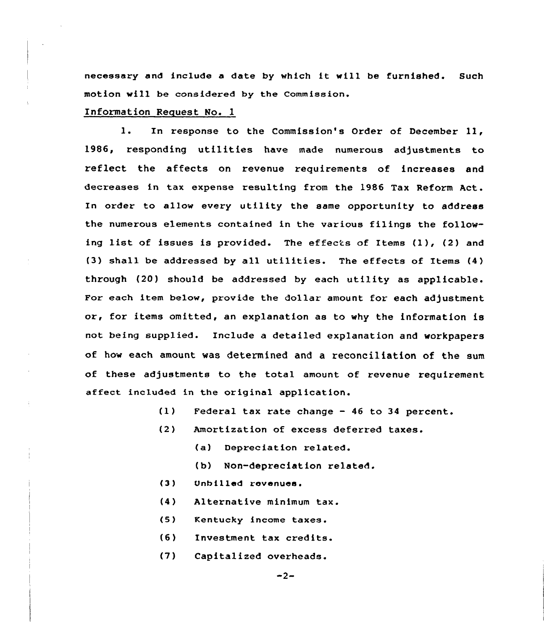necessary and include <sup>a</sup> date by which it will be furnished. Such motion will be considered by the Commission.

## Information Request No. 1

l. In response to the Commission's Order of December ll, 1986, responding utilities have made numerous adjustments to reflect the affects on revenue requirements of increases and decreases in tax expense resulting from the 1986 Tax Reform Act. In order to allow every utility the same opportunity to address the numerous elements contained in the various filings the following list of issues is provided. The effects of Items (1), (2) and (3) shall be addressed by all utilities. The effects of Items (4) through (20) should be addressed by each utility as applicable. For each item below, provide the dollar amount for each adjustment or, fox items omitted, an explanation as to why the information is not being supplied. Include a detailed explanation and workpapers of how each amount was determined and a reconciliation of the sum of these adjustments to the total amount of revenue requirement affect included in the original application.

- $(1)$ Federal tax rate change - 46 to 34 percent.
- (2) Amortization of excess deferred taxes.
	- (a) Depreciation related.
	- (b) Non-depreciation related.
- (3) Unbilled revenues.
- (4) Alternative minimum tax.
- $(5)$ Kentucky income taxes.
- (6) Investment tax credits.
- (7) Capitalized overheads.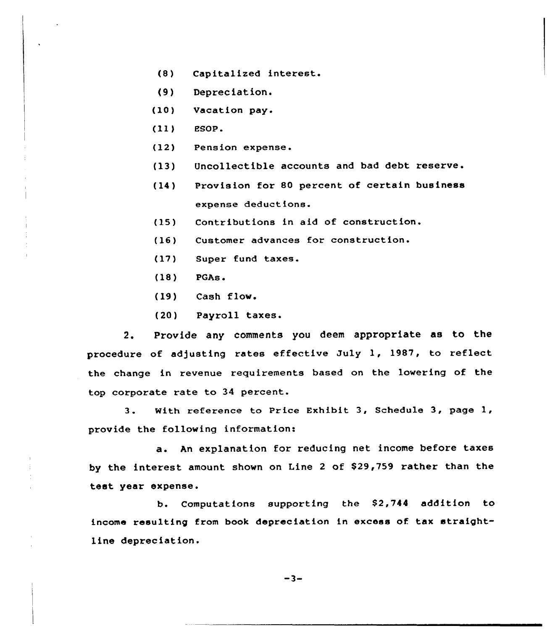- (8) Capitalized interest.
- {<sup>9</sup> ) Deprec iat ion.
- (10) vacation pay.
- (11) ESOP.
- (12) Pension expense.
- (13) Uncollectible accounts and bad debt reserve.
- (14) Provision for 80 percent of certain business expense deductions.
- (15) Contributions in aid of construction.
- (16) Customer advances for construction.
- (17) Super fund taxes.
- (18) PGAs <sup>~</sup>
- (19) Cash flow.
- (20) Payroll taxes.

2. Provide any comments you deem appropriate as to the procedure of adjusting rates effective July 1, 1987, to reflect the change in revenue requirements based on the lowering of the top corporate rate to 34 percent.

3. With reference to Price Exhibit 3, Schedule 3, page 1, provide the following information:

a. An explanation for reducing net income before taxes by the interest amount shown on Line 2 of \$29,759 rather than the test year expense.

b. Computations supporting the \$2,744 addition to income resulting from book depreciation in excess of tax straightline depreciation.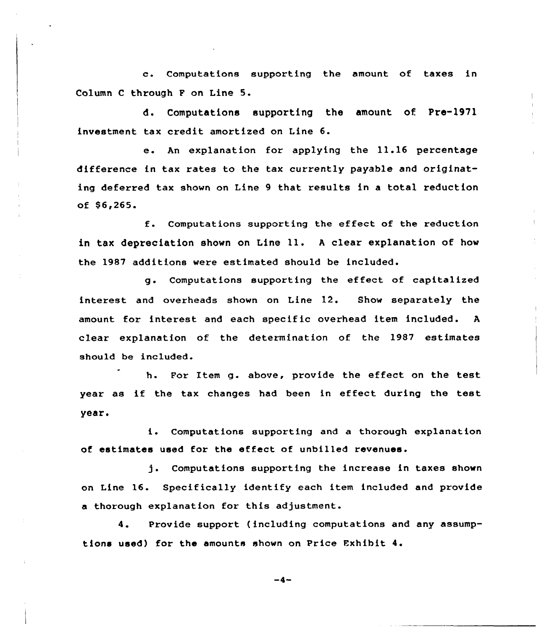c. Computations supporting the amount of taxes in Column <sup>C</sup> through <sup>P</sup> on Line 5.

d. Computations supporting the amount of Pre-1971 investment tax credit amortized on Line 6.

e. An explanation for applying the 11.16 percentage diffexence in tax rates to the tax currently payable and originating deferred tax shown on Line 9 that results in a total reduction  $of $6,265.$ 

f. Computations supporting the effect of the reduction in tax depxeciation shown on Line 11. <sup>A</sup> clear explanation of how the 1987 additions wexe estimated should be included.

q. Computations supporting the effect of capitalized interest and overheads shown on Line 12. Show separately the amount fox interest and each specific overhead item included. <sup>A</sup> cleax explanation of the determination of the 1987 estimates should be included.

h. Pox Item g. above, provide the effect on the test year as if the tax changes had been in effect duxing the test year.

i. Computations supporting and a thorough explanation of estimates used for the effect of unbilled revenues.

j. Computations supporting the increase in taxes shown on Line 16. Specifically identify each item included and provide a thorough explanation for this adjustment.

4. Pxovide support (including computations and any assumptions used) for the amounts shown on Price Pxhibit 4.

 $-4-$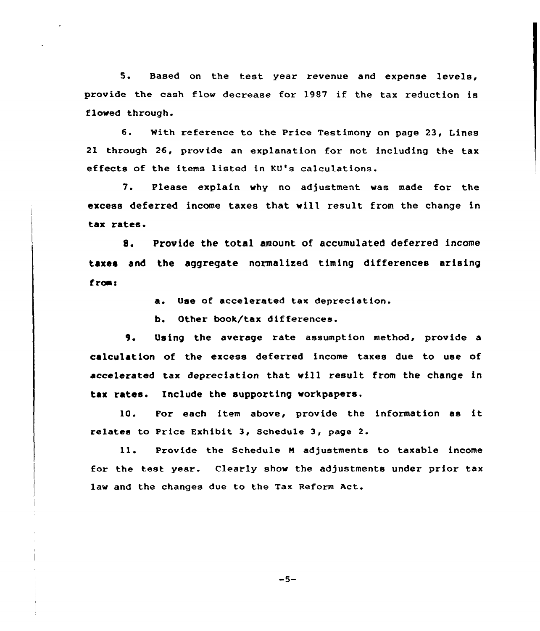5. Based on the test year revenue and expense levels, provide the cash flow decrease for 1987 if the tax reduction is flowed through.

6. With reference to the Price Testimony on page 23, Lines 21 through 26, provide an explanation for not including the tax effects of the items listed in KU's calculations.

7. Please explain why no adjustment was made for the excess deferred income taxes that will result from the change in tax rates.

8. Provide the total amount of accumulated defexred income taxes and the aggregate normalized timing differences arising froms

a. Use of accelerated tax depreciation.

b. Other book/tax differences.

9. Using the average rate assumption method, provide <sup>a</sup> calculation of the excess deferred income taxes due to use of accelerated tax depreciation that will result from the change in tax rates. Include the supporting workpapers.

10. For each item above, provide the information as it relates to Price Exhibit 3, Schedule 3, page 2.

11. Provide the Schedule <sup>M</sup> adjustments to taxable income for the test year. Clearly show the adjustments under prior tax law and the changes due to the Tax Reform Act.

 $-5-$